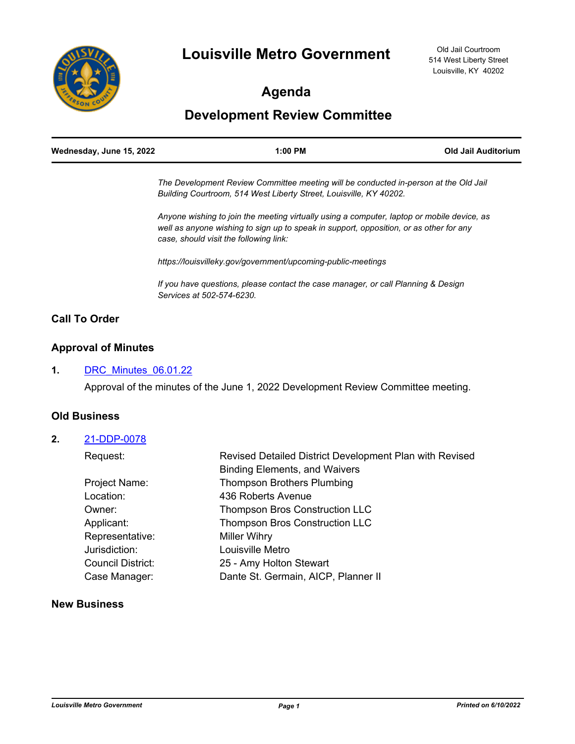

# **Agenda**

# **Development Review Committee**

| Wednesday, June 15, 2022 | $1:00$ PM                                                                            | Old Jail Auditorium |
|--------------------------|--------------------------------------------------------------------------------------|---------------------|
|                          | The Development Review Committee meeting will be conducted in-person at the Old Jail |                     |

*Building Courtroom, 514 West Liberty Street, Louisville, KY 40202.*

*Anyone wishing to join the meeting virtually using a computer, laptop or mobile device, as well as anyone wishing to sign up to speak in support, opposition, or as other for any case, should visit the following link:*

*https://louisvilleky.gov/government/upcoming-public-meetings*

*If you have questions, please contact the case manager, or call Planning & Design Services at 502-574-6230.*

## **Call To Order**

## **Approval of Minutes**

#### **1.** [DRC\\_Minutes\\_06.01.22](http://louisville.legistar.com/gateway.aspx?m=l&id=/matter.aspx?key=60771)

Approval of the minutes of the June 1, 2022 Development Review Committee meeting.

### **Old Business**

#### **2.** [21-DDP-0078](http://louisville.legistar.com/gateway.aspx?m=l&id=/matter.aspx?key=60392)

| Request:          | Revised Detailed District Development Plan with Revised |  |
|-------------------|---------------------------------------------------------|--|
|                   | <b>Binding Elements, and Waivers</b>                    |  |
| Project Name:     | <b>Thompson Brothers Plumbing</b>                       |  |
| Location:         | 436 Roberts Avenue                                      |  |
| Owner:            | <b>Thompson Bros Construction LLC</b>                   |  |
| Applicant:        | <b>Thompson Bros Construction LLC</b>                   |  |
| Representative:   | <b>Miller Wihry</b>                                     |  |
| Jurisdiction:     | Louisville Metro                                        |  |
| Council District: | 25 - Amy Holton Stewart                                 |  |
| Case Manager:     | Dante St. Germain, AICP, Planner II                     |  |
|                   |                                                         |  |

### **New Business**